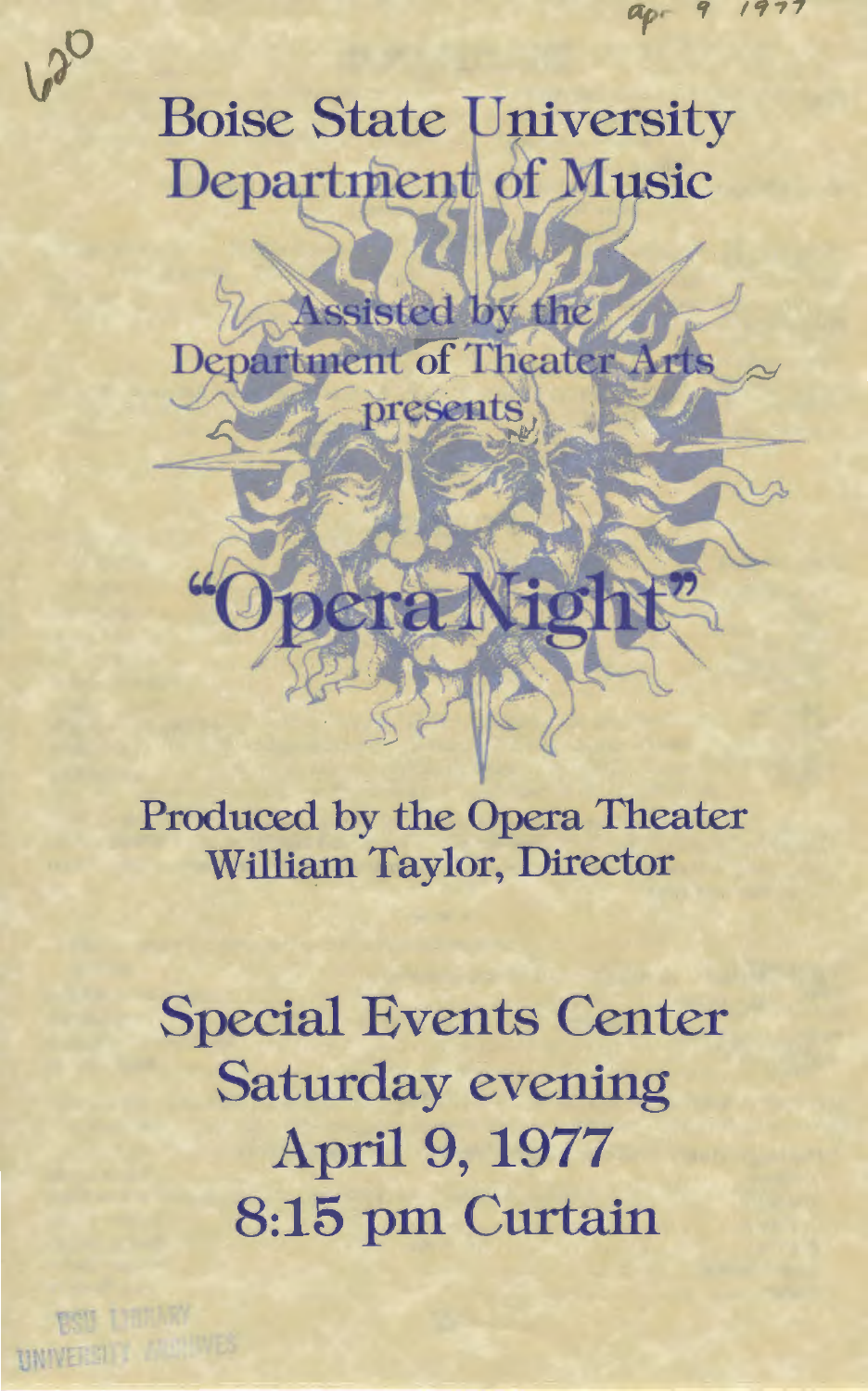apr

# **Boise State University** Department of Music

Assisted by the **Department of Theater Arts** presents

**Fiol** 

Produced by the Opera Theater William Taylor, Director

era

Special Events Center Saturday evening April 9, 1977 8:15 pm Curtain

UNIVERSITY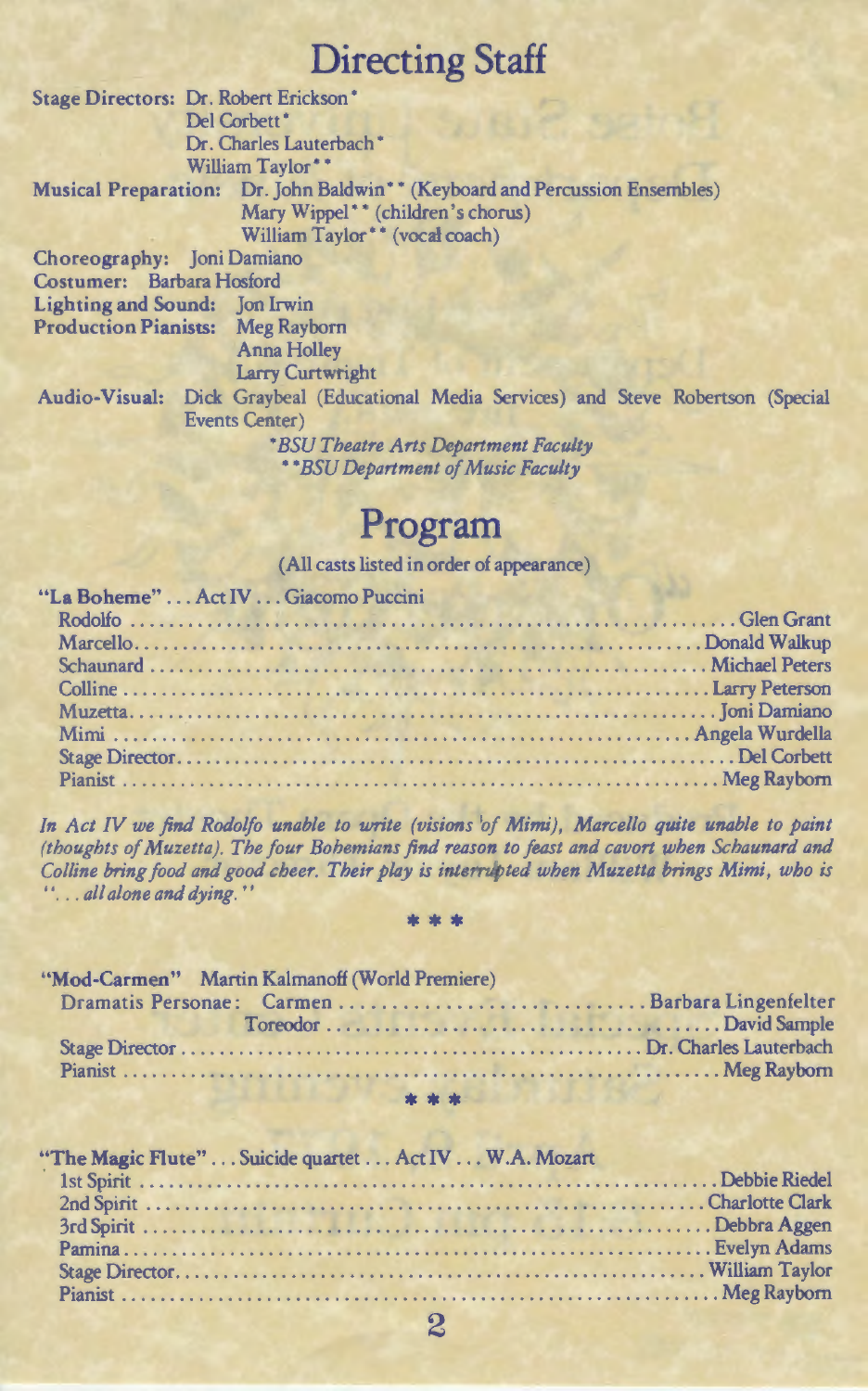## **Directing Staff**

Stage Directors: Dr. Robert Erickson • Del Corbett<sup>\*</sup> Dr. Charles Lauterbach\* William Taylor\*\* Musical Preparation: Dr. John Baldwin\*\* (Keyboard and Percussion Ensembles) Mary Wippel\*\* (children's chorus) William Taylor\*\* (vocał coach) Choreography: Joni Damiano Costumer: Barbara Hosford Lighting and Sound: Jon Irwin Production Pianists: Meg Rayborn Anna Holley Larry Curtwright Audio-Visual: Dick Graybeal (Educational Media Services) and Steve Robertson (Special Events Center) • *BSU Theatre Arts Department Faculty*  • *\*BSU Department of Music Faculty* 

#### **Program**

(All casts listed in order of appearance)

| "La Boheme"  Act IV  Giacomo Puccini | <b>CALIFORNIA CARD AND</b> |  |
|--------------------------------------|----------------------------|--|
|                                      |                            |  |
|                                      |                            |  |
|                                      |                            |  |
|                                      |                            |  |
|                                      |                            |  |
|                                      |                            |  |
|                                      |                            |  |
|                                      |                            |  |

*In Act IV we find Rodolfo unable to write (visions of Mimi), Marcello quite unable to paint (thoughts of Muzetta). The four Bohemians find reason to feast and cavort when Schaunard and Co/line bring food and good cheer. Their play is interrupted when Muzetta brings Mimi, who is*  ' ' ... *all alone and dying.* ' '

#### \*\*

| "Mod-Carmen" Martin Kalmanoff (World Premiere)                                                                                         |  |
|----------------------------------------------------------------------------------------------------------------------------------------|--|
|                                                                                                                                        |  |
|                                                                                                                                        |  |
|                                                                                                                                        |  |
|                                                                                                                                        |  |
| and the second second service of the second second service of the second service of the service of the service<br>LA PILITIAN ANG ALIM |  |
|                                                                                                                                        |  |

| "The Magic Flute" Suicide quartet Act IV W.A. Mozart |  |
|------------------------------------------------------|--|
|                                                      |  |
|                                                      |  |
|                                                      |  |
|                                                      |  |
|                                                      |  |
|                                                      |  |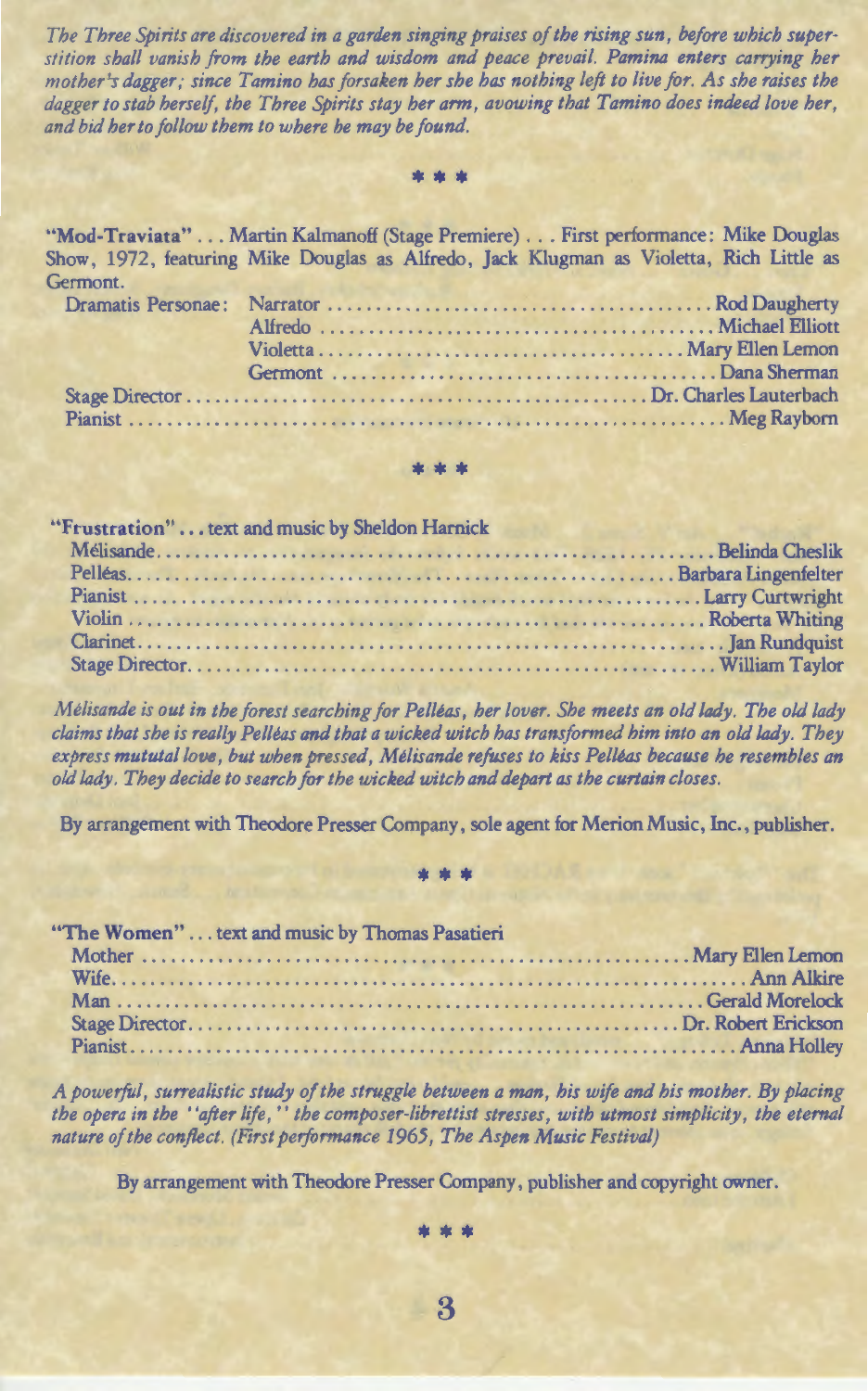*The Three Spirits are discovered in a garden singing praises of the rising sun, before which superstition shall vanish from the earth and wisdom and peace prevail. Pamina enters carrying her mother's dagger; since Tamino has forsaken her she has nothing left to live for. As she raises the* dagger to stab herself, the Three Spirits stay her arm, avowing that Tamino does indeed love her, *and bid her to follow them to where he may be found.* 

\*\*

"Mod-Traviata" ... Martin Kalmanoff (Stage Premiere) ... First performance: Mike Douglas Show, 1972, featuring Mike Douglas as Alfredo, Jack Klugman as Violetta, Rich Little as Germont.

\*\*\*\*

"Frustration" . . . text and music by Sheldon Harnick Melisande .......................................................... Belinda Cheslik Pelleas ......................................................... Barbara Lingenfelter Pianist ........................................................... Larry Curtwright Violin ............................................................ Roberta Whiting Clarinet ............................................................. Jan Rundquist Stage Director ....................................................... William Taylor

*Melisande is out in the forest searching for Pelleas, her lover. She meets an old lady. The old lady claims that she is really Pelleas and that a wicked witch has transformed him into an old lady. They express mututallove, but when pressed, Melisande refuses to kiss Pelleas because he resembles an old lady. They decide to search for the wicked witch and depart as the curtain closes.* 

By arrangement with Theodore Presser Company, sole agent for Merion Music, Inc., publisher.

\*\*\*

"The Women" ... text and music by Thomas Pasatieri Mother ......................................................... Mary Ellen Lemon Wife .................................................................. Ann Alkire Man ............................................................. Gerald Morelock Stage Director ................................................... Dr. Robert Erickson Pianist ............................................................... Anna Holley

*A powerful, surrealistic study of the struggle between a man, his wife and his mother. By placing the opera in the "after life," the composer-librettist stresses, with utmost simplicity, the eternal nature of the conflect. (First performance 1965, The Aspen Music Festival)* 

By arrangement with Theodore Presser Company, publisher and copyright owner.

\*\*\*

3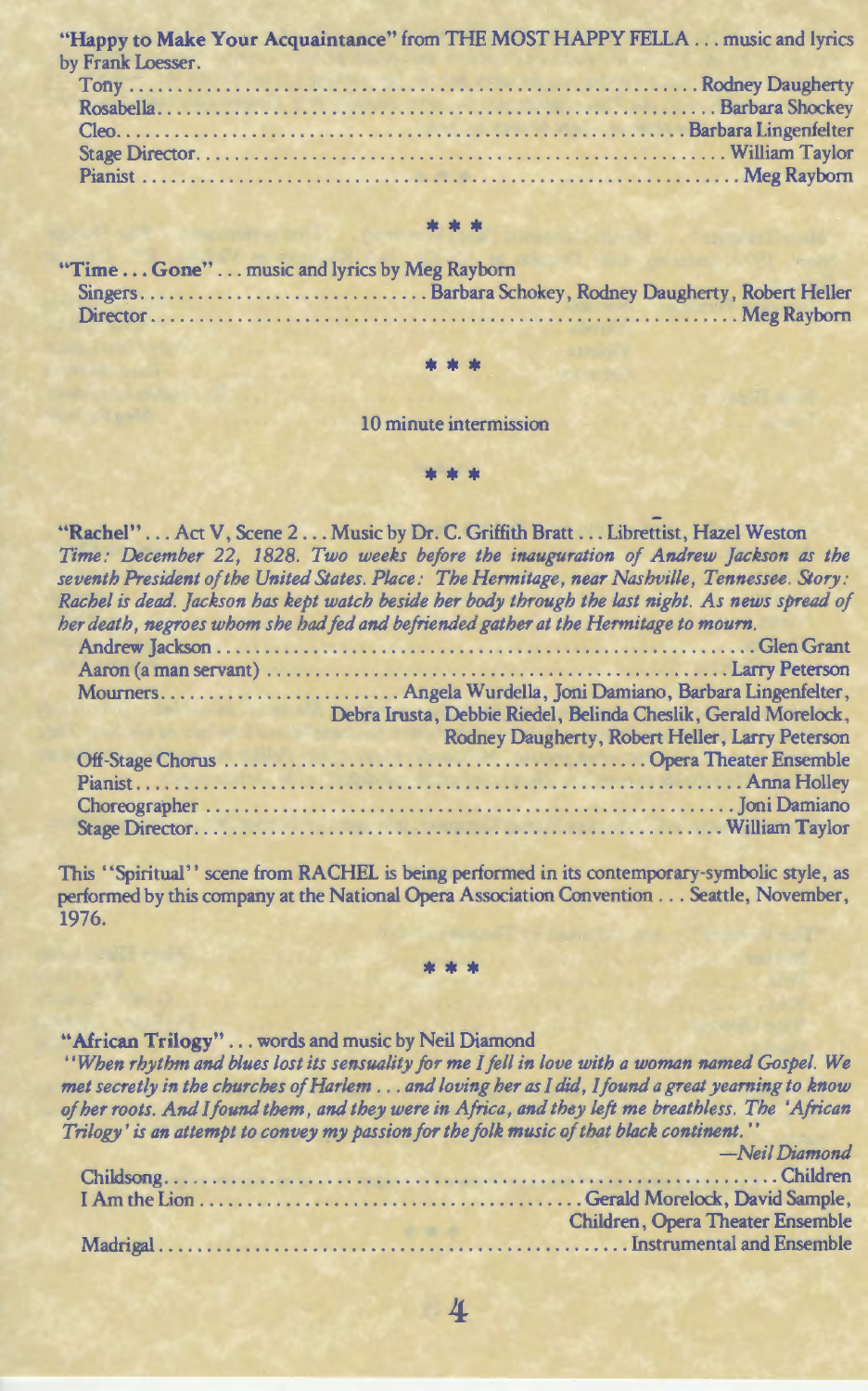"Happy to Make Your Acquaintance" from THE MOST HAPPY FELLA ... music and lyrics by Frank Loesser.

| $U1$ is a contracted by $U2$ in $U3$ |  |
|--------------------------------------|--|
|                                      |  |
|                                      |  |
|                                      |  |
|                                      |  |
|                                      |  |
|                                      |  |

#### \* \* \*

|  | "Time  Gone"  music and lyrics by Meg Rayborn |  |
|--|-----------------------------------------------|--|
|  |                                               |  |
|  |                                               |  |

#### \*\*\*

10 minute intermission

#### \*\* \*

"Rachel" . . . Act V, Scene 2 . . . Music by Dr. C. Griffith Bratt . . . Librettist, Hazel Weston *Time: December 22, 1828. Two weeks before the inauguration of Andrew Jackson as the seventh President of the United States. Place: The Hermitage, near Nashville, Tennessee. Story: Rachel is dead. jackson has kept watch beside her body through the last night. As news spread of her death, negroes whom she had fed and befriended gather at the Hermitage to mourn.* 

| At MARRIA I ISON LORD SAIN CITY ON A HOW JOW MISSY O ALLIANCE AND LORD IN THE STAR STATISTICAL ARE ITED WITH |
|--------------------------------------------------------------------------------------------------------------|
|                                                                                                              |
|                                                                                                              |
|                                                                                                              |
| Debra Irusta, Debbie Riedel, Belinda Cheslik, Gerald Morelock,                                               |
| Rodney Daugherty, Robert Heller, Larry Peterson                                                              |
|                                                                                                              |
|                                                                                                              |
|                                                                                                              |
|                                                                                                              |
|                                                                                                              |

This "Spiritual" scene from RACHEL is being performed in its contemporary-symbolic style, as performed by this company at the National Opera Association Convention ... Seattle, November, 1976.

\*\*\*

#### "African Trilogy" . . . words and music by Neil Diamond

*''When rhythm and blues lost its sensuality for me I fell in love with a woman named Gospel. We met secretly in the churches of Harlem* ... *and loving her as I did, I found a great yearning to know of her roots. And /found them, and they were in Africa, and they left me breathless. The 'African Trilogy' is an attempt to convey my passion for the folk music of that black continent.* ''

|  | -Neil Diamond                    |
|--|----------------------------------|
|  |                                  |
|  |                                  |
|  | Children, Opera Theater Ensemble |
|  |                                  |

4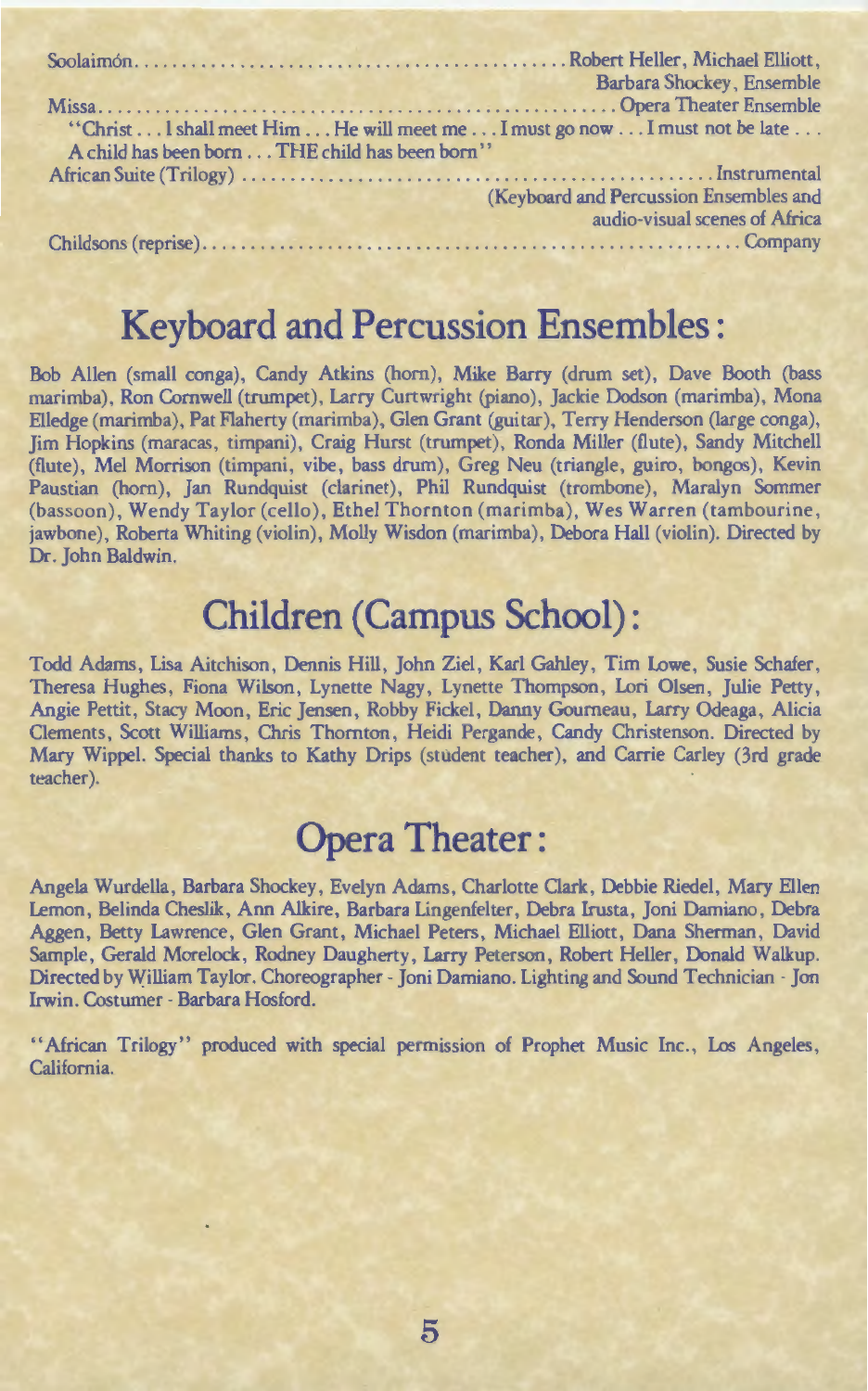|                                                                           | Barbara Shockey, Ensemble              |
|---------------------------------------------------------------------------|----------------------------------------|
|                                                                           |                                        |
| "Christ I shall meet Him He will meet me I must go now I must not be late |                                        |
| A child has been born THE child has been born"                            |                                        |
|                                                                           |                                        |
|                                                                           | (Keyboard and Percussion Ensembles and |
|                                                                           | audio-visual scenes of Africa          |
|                                                                           |                                        |

## **Keyboard and Percussion Ensembles** :

Bob Allen (small conga), Candy Atkins (horn), Mike Barry (drum set), Dave Booth (bass marimba), Ron Cornwell (trumpet), Larry Curtwright (piano), Jackie Dodson (marimba), Mona Elledge (marimba), Pat Flaherty (marimba), Glen Grant (guitar), Terry Henderson (large conga), Jim Hopkins (maracas, timpani), Craig Hurst (trumpet), Ronda Miller (flute), Sandy Mitchell (flute), Mel Morrison (timpani, vibe, bass drum), Greg Neu (triangle, guiro, bongos), Kevin Paustian (hom), Jan Rundquist (clarinet), Phil Rundquist (trombone), Maralyn Sommer (bassoon), Wendy Taylor (cello), Ethel Thornton (marimba), Wes Warren (tambourine, jawbone), Roberta Whiting (violin), Molly Wisdon (marimba), Debora Hall (violin). Directed by Dr. John Baldwin.

# **Children (Campus School):**

Todd Adams, Lisa Aitchison, Dennis Hill, John Ziel, Karl Gahley, Tim Lowe, Susie Schafer, Theresa Hughes, Fiona Wilson, Lynette Nagy, Lynette Thompson, Lori Olsen, Julie Petty, Angie Pettit, Stacy Moon, Eric Jensen, Robby Fickel, Danny Goumeau, Larry Odeaga, Alicia Clements, Scott Williams, Chris Thornton, Heidi Pergande, Candy Christenson. Directed by Mary Wippel. Special thanks to Kathy Drips (student teacher), and Carrie Carley (3rd grade teacher).

# **Opera Theater:**

Angela Wurdella, Barbara Shockey, Evelyn Adams, Charlotte Clark, Debbie Riedel, Mary Ellen Lemon, Belinda Cheslik, Ann Alkire, Barbara Lingenfelter, Debra lrusta, Joni Damiano, Debra Aggen, Betty Lawrence, Glen Grant, Michael Peters, Michael Elliott, Dana Sherman, David Sample, Gerald Morelock, Rodney Daugherty, Larry Peterson, Robert Heller, Donald Walkup. Directed by William Taylor. Choreographer- Joni Damiano. Lighting and Sound Technician- Jon Irwin. Costumer- Barbara Hosford.

"African Trilogy" produced with special permission of Prophet Music Inc., Los Angeles, California.